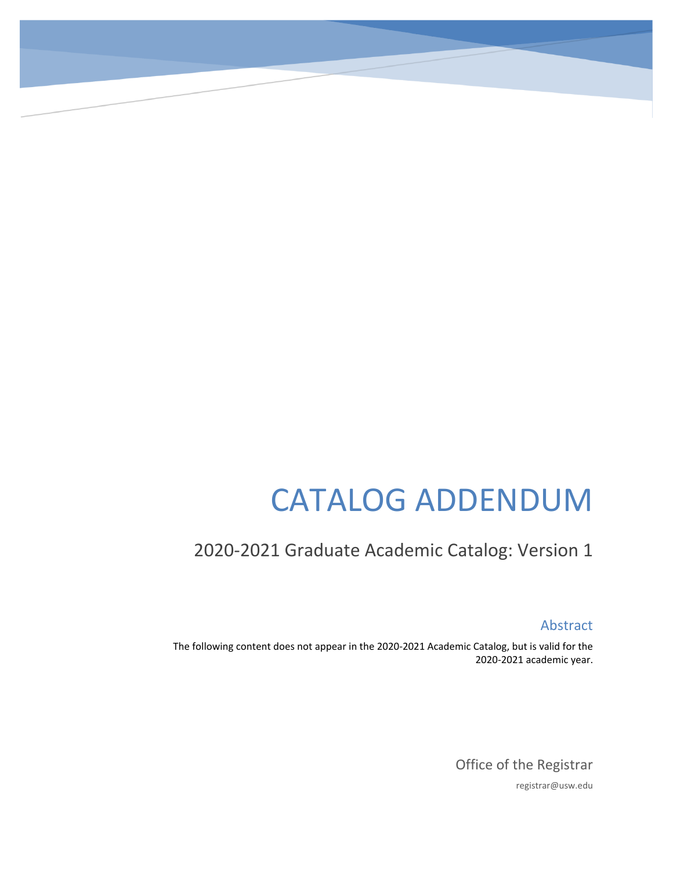# CATALOG ADDENDUM

# 2020-2021 Graduate Academic Catalog: Version 1

Abstract

The following content does not appear in the 2020-2021 Academic Catalog, but is valid for the 2020-2021 academic year.

> Office of the Registrar registrar@usw.edu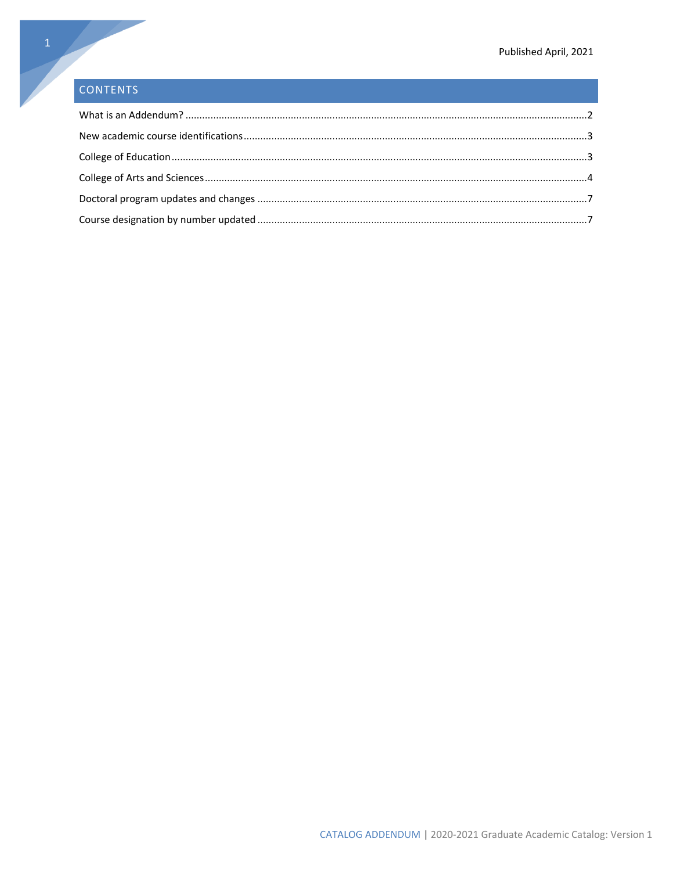# CONTENTS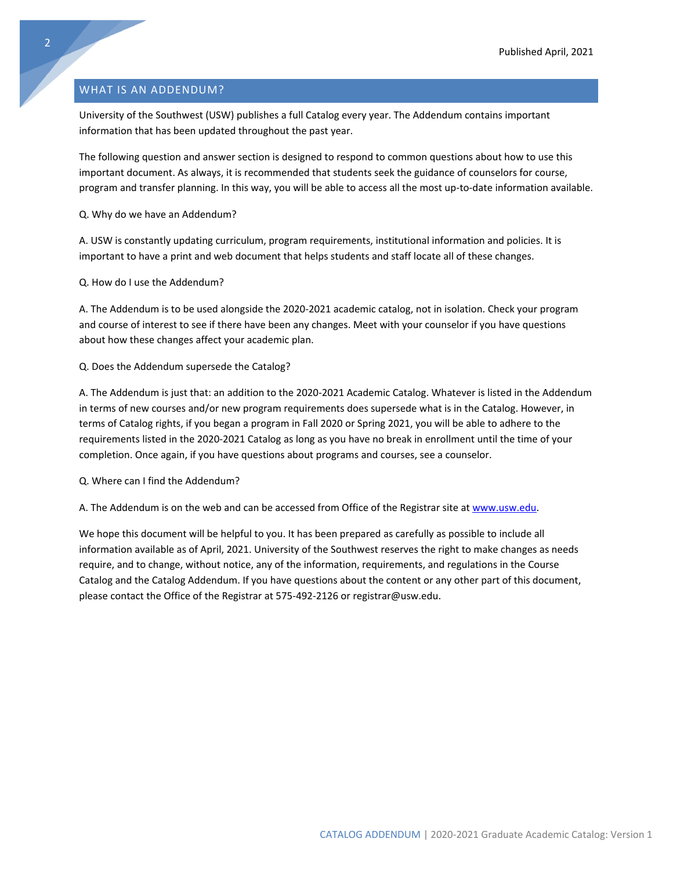# <span id="page-2-0"></span>WHAT IS AN ADDENDUM?

University of the Southwest (USW) publishes a full Catalog every year. The Addendum contains important information that has been updated throughout the past year.

The following question and answer section is designed to respond to common questions about how to use this important document. As always, it is recommended that students seek the guidance of counselors for course, program and transfer planning. In this way, you will be able to access all the most up-to-date information available.

Q. Why do we have an Addendum?

A. USW is constantly updating curriculum, program requirements, institutional information and policies. It is important to have a print and web document that helps students and staff locate all of these changes.

Q. How do I use the Addendum?

A. The Addendum is to be used alongside the 2020-2021 academic catalog, not in isolation. Check your program and course of interest to see if there have been any changes. Meet with your counselor if you have questions about how these changes affect your academic plan.

Q. Does the Addendum supersede the Catalog?

A. The Addendum is just that: an addition to the 2020-2021 Academic Catalog. Whatever is listed in the Addendum in terms of new courses and/or new program requirements does supersede what is in the Catalog. However, in terms of Catalog rights, if you began a program in Fall 2020 or Spring 2021, you will be able to adhere to the requirements listed in the 2020-2021 Catalog as long as you have no break in enrollment until the time of your completion. Once again, if you have questions about programs and courses, see a counselor.

Q. Where can I find the Addendum?

A. The Addendum is on the web and can be accessed from Office of the Registrar site at [www.usw.edu.](http://www.usw.edu/)

We hope this document will be helpful to you. It has been prepared as carefully as possible to include all information available as of April, 2021. University of the Southwest reserves the right to make changes as needs require, and to change, without notice, any of the information, requirements, and regulations in the Course Catalog and the Catalog Addendum. If you have questions about the content or any other part of this document, please contact the Office of the Registrar at 575-492-2126 or registrar@usw.edu.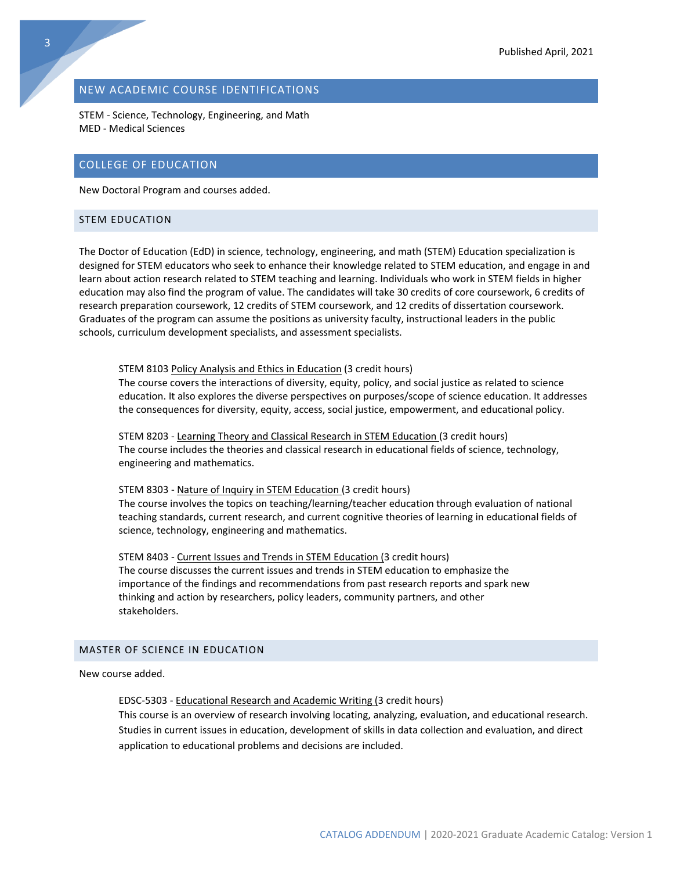# <span id="page-3-0"></span>NEW ACADEMIC COURSE IDENTIFICATIONS

STEM - Science, Technology, Engineering, and Math MED - Medical Sciences

# <span id="page-3-1"></span>COLLEGE OF EDUCATION

New Doctoral Program and courses added.

## STEM EDUCATION

The Doctor of Education (EdD) in science, technology, engineering, and math (STEM) Education specialization is designed for STEM educators who seek to enhance their knowledge related to STEM education, and engage in and learn about action research related to STEM teaching and learning. Individuals who work in STEM fields in higher education may also find the program of value. The candidates will take 30 credits of core coursework, 6 credits of research preparation coursework, 12 credits of STEM coursework, and 12 credits of dissertation coursework. Graduates of the program can assume the positions as university faculty, instructional leaders in the public schools, curriculum development specialists, and assessment specialists.

STEM 8103 Policy Analysis and Ethics in Education (3 credit hours) The course covers the interactions of diversity, equity, policy, and social justice as related to science education. It also explores the diverse perspectives on purposes/scope of science education. It addresses the consequences for diversity, equity, access, social justice, empowerment, and educational policy.

STEM 8203 - Learning Theory and Classical Research in STEM Education (3 credit hours) The course includes the theories and classical research in educational fields of science, technology, engineering and mathematics.

STEM 8303 - Nature of Inquiry in STEM Education (3 credit hours) The course involves the topics on teaching/learning/teacher education through evaluation of national teaching standards, current research, and current cognitive theories of learning in educational fields of science, technology, engineering and mathematics.

STEM 8403 - Current Issues and Trends in STEM Education (3 credit hours) The course discusses the current issues and trends in STEM education to emphasize the importance of the findings and recommendations from past research reports and spark new thinking and action by researchers, policy leaders, community partners, and other stakeholders.

#### MASTER OF SCIENCE IN EDUCATION

New course added.

EDSC-5303 - Educational Research and Academic Writing (3 credit hours) This course is an overview of research involving locating, analyzing, evaluation, and educational research. Studies in current issues in education, development of skills in data collection and evaluation, and direct application to educational problems and decisions are included.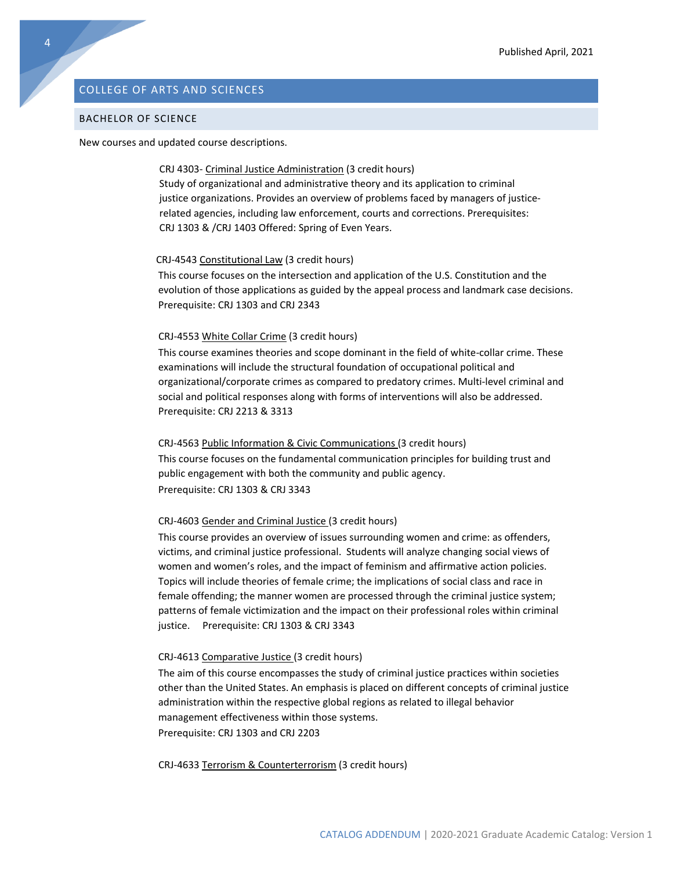# <span id="page-4-0"></span>COLLEGE OF ARTS AND SCIENCES

#### BACHELOR OF SCIENCE

New courses and updated course descriptions.

#### CRJ 4303- Criminal Justice Administration (3 credit hours)

Study of organizational and administrative theory and its application to criminal justice organizations. Provides an overview of problems faced by managers of justicerelated agencies, including law enforcement, courts and corrections. Prerequisites: CRJ 1303 & /CRJ 1403 Offered: Spring of Even Years.

#### CRJ-4543 Constitutional Law (3 credit hours)

This course focuses on the intersection and application of the U.S. Constitution and the evolution of those applications as guided by the appeal process and landmark case decisions. Prerequisite: CRJ 1303 and CRJ 2343

#### CRJ-4553 White Collar Crime (3 credit hours)

This course examines theories and scope dominant in the field of white-collar crime. These examinations will include the structural foundation of occupational political and organizational/corporate crimes as compared to predatory crimes. Multi-level criminal and social and political responses along with forms of interventions will also be addressed. Prerequisite: CRJ 2213 & 3313

#### CRJ-4563 Public Information & Civic Communications (3 credit hours)

This course focuses on the fundamental communication principles for building trust and public engagement with both the community and public agency. Prerequisite: CRJ 1303 & CRJ 3343

#### CRJ-4603 Gender and Criminal Justice (3 credit hours)

This course provides an overview of issues surrounding women and crime: as offenders, victims, and criminal justice professional. Students will analyze changing social views of women and women's roles, and the impact of feminism and affirmative action policies. Topics will include theories of female crime; the implications of social class and race in female offending; the manner women are processed through the criminal justice system; patterns of female victimization and the impact on their professional roles within criminal justice. Prerequisite: CRJ 1303 & CRJ 3343

#### CRJ-4613 Comparative Justice (3 credit hours)

The aim of this course encompasses the study of criminal justice practices within societies other than the United States. An emphasis is placed on different concepts of criminal justice administration within the respective global regions as related to illegal behavior management effectiveness within those systems. Prerequisite: CRJ 1303 and CRJ 2203

CRJ-4633 Terrorism & Counterterrorism (3 credit hours)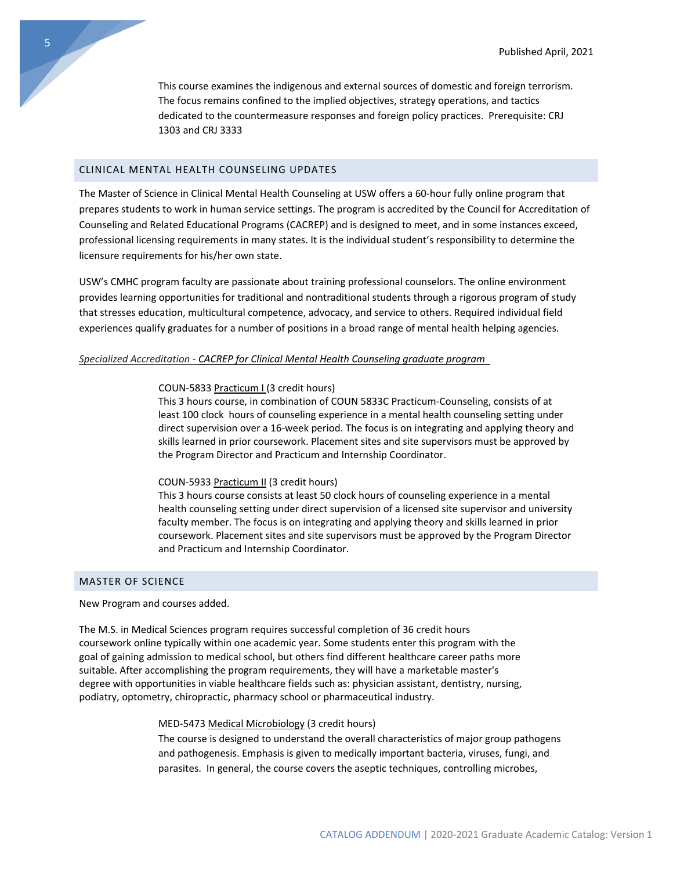This course examines the indigenous and external sources of domestic and foreign terrorism. The focus remains confined to the implied objectives, strategy operations, and tactics dedicated to the countermeasure responses and foreign policy practices. Prerequisite: CRJ 1303 and CRJ 3333

# CLINICAL MENTAL HEALTH COUNSELING UPDATES

The Master of Science in Clinical Mental Health Counseling at USW offers a 60-hour fully online program that prepares students to work in human service settings. The program is accredited by the Council for Accreditation of Counseling and Related Educational Programs (CACREP) and is designed to meet, and in some instances exceed, professional licensing requirements in many states. It is the individual student's responsibility to determine the licensure requirements for his/her own state.

USW's CMHC program faculty are passionate about training professional counselors. The online environment provides learning opportunities for traditional and nontraditional students through a rigorous program of study that stresses education, multicultural competence, advocacy, and service to others. Required individual field experiences qualify graduates for a number of positions in a broad range of mental health helping agencies.

#### *Specialized Accreditation - CACREP for Clinical Mental Health Counseling graduate program*

#### COUN-5833 Practicum I (3 credit hours)

This 3 hours course, in combination of COUN 5833C Practicum-Counseling, consists of at least 100 clock hours of counseling experience in a mental health counseling setting under direct supervision over a 16-week period. The focus is on integrating and applying theory and skills learned in prior coursework. Placement sites and site supervisors must be approved by the Program Director and Practicum and Internship Coordinator.

#### COUN-5933 Practicum II (3 credit hours)

This 3 hours course consists at least 50 clock hours of counseling experience in a mental health counseling setting under direct supervision of a licensed site supervisor and university faculty member. The focus is on integrating and applying theory and skills learned in prior coursework. Placement sites and site supervisors must be approved by the Program Director and Practicum and Internship Coordinator.

## MASTER OF SCIENCE

New Program and courses added.

The M.S. in Medical Sciences program requires successful completion of 36 credit hours coursework online typically within one academic year. Some students enter this program with the goal of gaining admission to medical school, but others find different healthcare career paths more suitable. After accomplishing the program requirements, they will have a marketable master's degree with opportunities in viable healthcare fields such as: physician assistant, dentistry, nursing, podiatry, optometry, chiropractic, pharmacy school or pharmaceutical industry.

#### MED-5473 Medical Microbiology (3 credit hours)

The course is designed to understand the overall characteristics of major group pathogens and pathogenesis. Emphasis is given to medically important bacteria, viruses, fungi, and parasites. In general, the course covers the aseptic techniques, controlling microbes,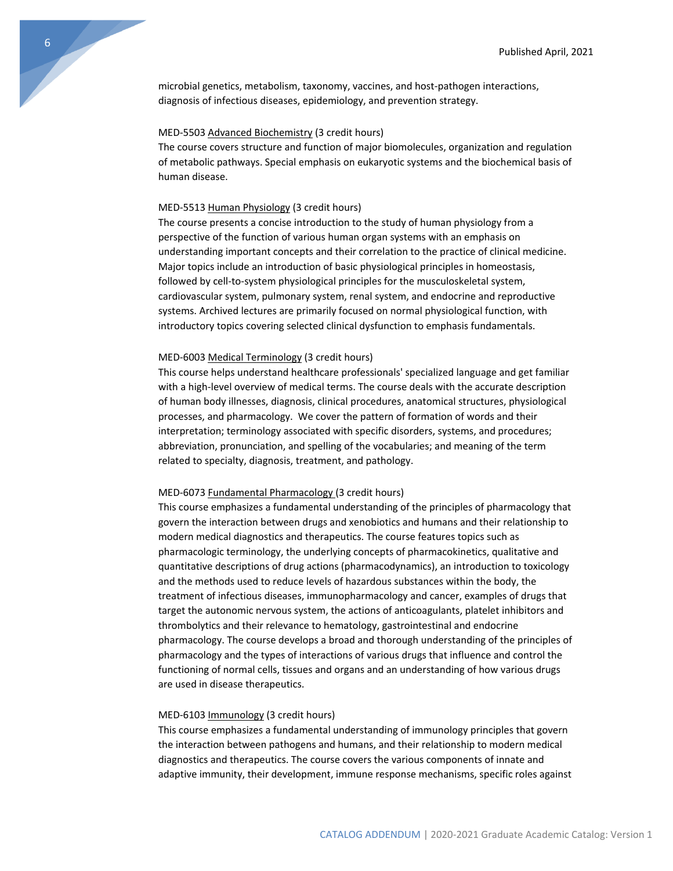microbial genetics, metabolism, taxonomy, vaccines, and host-pathogen interactions, diagnosis of infectious diseases, epidemiology, and prevention strategy.

#### MED-5503 Advanced Biochemistry (3 credit hours)

The course covers structure and function of major biomolecules, organization and regulation of metabolic pathways. Special emphasis on eukaryotic systems and the biochemical basis of human disease.

#### MED-5513 Human Physiology (3 credit hours)

The course presents a concise introduction to the study of human physiology from a perspective of the function of various human organ systems with an emphasis on understanding important concepts and their correlation to the practice of clinical medicine. Major topics include an introduction of basic physiological principles in homeostasis, followed by cell-to-system physiological principles for the musculoskeletal system, cardiovascular system, pulmonary system, renal system, and endocrine and reproductive systems. Archived lectures are primarily focused on normal physiological function, with introductory topics covering selected clinical dysfunction to emphasis fundamentals.

#### MED-6003 Medical Terminology (3 credit hours)

This course helps understand healthcare professionals' specialized language and get familiar with a high-level overview of medical terms. The course deals with the accurate description of human body illnesses, diagnosis, clinical procedures, anatomical structures, physiological processes, and pharmacology. We cover the pattern of formation of words and their interpretation; terminology associated with specific disorders, systems, and procedures; abbreviation, pronunciation, and spelling of the vocabularies; and meaning of the term related to specialty, diagnosis, treatment, and pathology.

#### MED-6073 Fundamental Pharmacology (3 credit hours)

This course emphasizes a fundamental understanding of the principles of pharmacology that govern the interaction between drugs and xenobiotics and humans and their relationship to modern medical diagnostics and therapeutics. The course features topics such as pharmacologic terminology, the underlying concepts of pharmacokinetics, qualitative and quantitative descriptions of drug actions (pharmacodynamics), an introduction to toxicology and the methods used to reduce levels of hazardous substances within the body, the treatment of infectious diseases, immunopharmacology and cancer, examples of drugs that target the autonomic nervous system, the actions of anticoagulants, platelet inhibitors and thrombolytics and their relevance to hematology, gastrointestinal and endocrine pharmacology. The course develops a broad and thorough understanding of the principles of pharmacology and the types of interactions of various drugs that influence and control the functioning of normal cells, tissues and organs and an understanding of how various drugs are used in disease therapeutics.

#### MED-6103 Immunology (3 credit hours)

This course emphasizes a fundamental understanding of immunology principles that govern the interaction between pathogens and humans, and their relationship to modern medical diagnostics and therapeutics. The course covers the various components of innate and adaptive immunity, their development, immune response mechanisms, specific roles against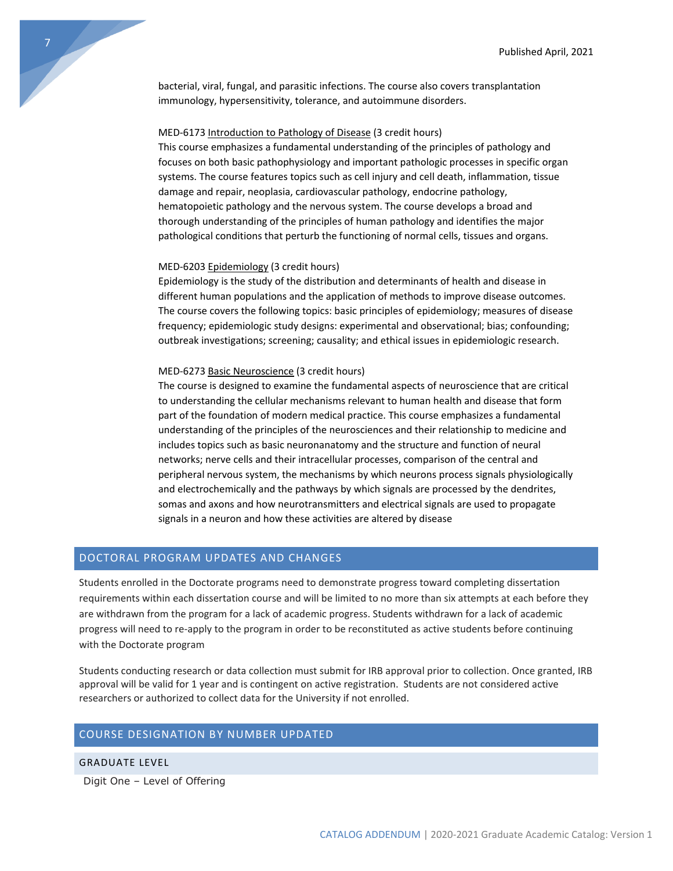bacterial, viral, fungal, and parasitic infections. The course also covers transplantation immunology, hypersensitivity, tolerance, and autoimmune disorders.

#### MED-6173 Introduction to Pathology of Disease (3 credit hours)

This course emphasizes a fundamental understanding of the principles of pathology and focuses on both basic pathophysiology and important pathologic processes in specific organ systems. The course features topics such as cell injury and cell death, inflammation, tissue damage and repair, neoplasia, cardiovascular pathology, endocrine pathology, hematopoietic pathology and the nervous system. The course develops a broad and thorough understanding of the principles of human pathology and identifies the major pathological conditions that perturb the functioning of normal cells, tissues and organs.

#### MED-6203 Epidemiology (3 credit hours)

Epidemiology is the study of the distribution and determinants of health and disease in different human populations and the application of methods to improve disease outcomes. The course covers the following topics: basic principles of epidemiology; measures of disease frequency; epidemiologic study designs: experimental and observational; bias; confounding; outbreak investigations; screening; causality; and ethical issues in epidemiologic research.

#### MED-6273 Basic Neuroscience (3 credit hours)

The course is designed to examine the fundamental aspects of neuroscience that are critical to understanding the cellular mechanisms relevant to human health and disease that form part of the foundation of modern medical practice. This course emphasizes a fundamental understanding of the principles of the neurosciences and their relationship to medicine and includes topics such as basic neuronanatomy and the structure and function of neural networks; nerve cells and their intracellular processes, comparison of the central and peripheral nervous system, the mechanisms by which neurons process signals physiologically and electrochemically and the pathways by which signals are processed by the dendrites, somas and axons and how neurotransmitters and electrical signals are used to propagate signals in a neuron and how these activities are altered by disease

# <span id="page-7-0"></span>DOCTORAL PROGRAM UPDATES AND CHANGES

Students enrolled in the Doctorate programs need to demonstrate progress toward completing dissertation requirements within each dissertation course and will be limited to no more than six attempts at each before they are withdrawn from the program for a lack of academic progress. Students withdrawn for a lack of academic progress will need to re-apply to the program in order to be reconstituted as active students before continuing with the Doctorate program

Students conducting research or data collection must submit for IRB approval prior to collection. Once granted, IRB approval will be valid for 1 year and is contingent on active registration. Students are not considered active researchers or authorized to collect data for the University if not enrolled.

# <span id="page-7-1"></span>COURSE DESIGNATION BY NUMBER UPDATED

#### GRADUATE LEVEL

Digit One – Level of Offering